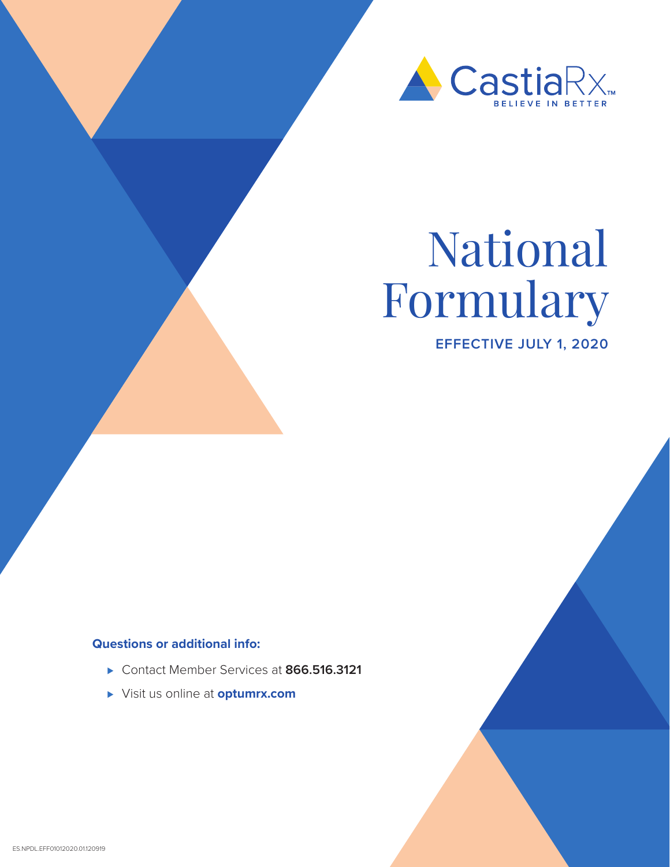

# National Formulary

**EFFECTIVE JULY 1, 2020**

### **Questions or additional info:**

- ⊲ Contact Member Services at **866.516.3121**
- ⊲ Visit us online at **optumrx.com**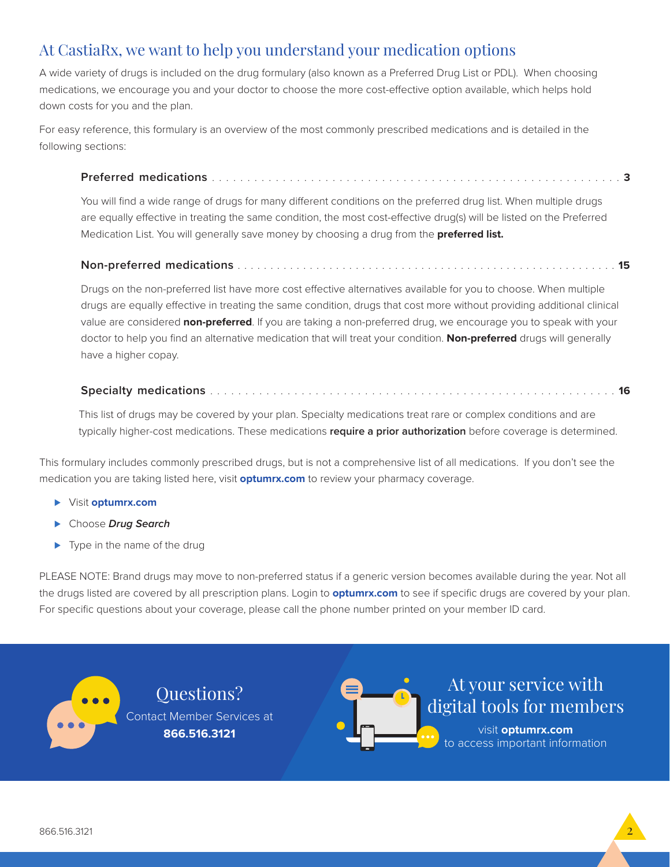### At CastiaRx, we want to help you understand your medication options

A wide variety of drugs is included on the drug formulary (also known as a Preferred Drug List or PDL). When choosing medications, we encourage you and your doctor to choose the more cost-effective option available, which helps hold down costs for you and the plan.

For easy reference, this formulary is an overview of the most commonly prescribed medications and is detailed in the following sections:

### **Preferred medications** . . . . . . . . . . . . . . . . . . . . . . . . . . . . . . . . . . . . . . . . . . . . . . . . . . . . . . . . . . **3**

You will find a wide range of drugs for many different conditions on the preferred drug list. When multiple drugs are equally effective in treating the same condition, the most cost-effective drug(s) will be listed on the Preferred Medication List. You will generally save money by choosing a drug from the **preferred list.** 

### **Non-preferred medications** . . . . . . . . . . . . . . . . . . . . . . . . . . . . . . . . . . . . . . . . . . . . . . . . . . . . . . . . . . **15**

Drugs on the non-preferred list have more cost effective alternatives available for you to choose. When multiple drugs are equally effective in treating the same condition, drugs that cost more without providing additional clinical value are considered **non-preferred**. If you are taking a non-preferred drug, we encourage you to speak with your doctor to help you find an alternative medication that will treat your condition. **Non-preferred** drugs will generally have a higher copay.

### **Specialty medications** . . . . . . . . . . . . . . . . . . . . . . . . . . . . . . . . . . . . . . . . . . . . . . . . . . . . . . . . . . **16**

This list of drugs may be covered by your plan. Specialty medications treat rare or complex conditions and are typically higher-cost medications. These medications **require a prior authorization** before coverage is determined.

This formulary includes commonly prescribed drugs, but is not a comprehensive list of all medications. If you don't see the medication you are taking listed here, visit **optumrx.com** to review your pharmacy coverage.

⊲ Visit **optumrx.com**

**...** 

- ⊲ Choose *Drug Search*
- ► Type in the name of the drug

PLEASE NOTE: Brand drugs may move to non-preferred status if a generic version becomes available during the year. Not all the drugs listed are covered by all prescription plans. Login to **optumrx.com** to see if specific drugs are covered by your plan. For specific questions about your coverage, please call the phone number printed on your member ID card.

> Questions? Contact Member Services at **866.516.3121**



At your service with digital tools for members

visit **optumrx.com**  to access important information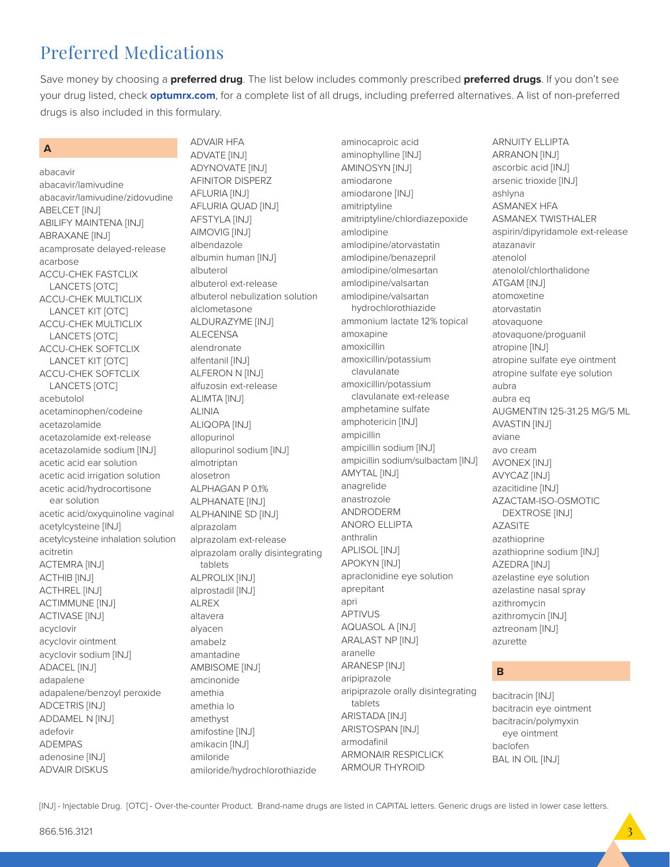# Preferred Medications

Save money by choosing a **preferred drug**. The list below includes commonly prescribed **preferred drugs**. If you don't see your drug listed, check **optumrx.com**, for a complete list of all drugs, including preferred alternatives. A list of non-preferred drugs is also included in this formulary.

### **A**

abacavir abacavir/lamivudine abacavir/lamivudine/zidovudine ABELCET [INJ] ABILIFY MAINTENA [INJ] ABRAXANE [INJ] acamprosate delayed-release acarbose ACCU-CHEK FASTCLIX LANCETS [OTC] ACCU-CHEK MULTICLIX LANCET KIT [OTC] ACCU-CHEK MULTICLIX LANCETS [OTC] ACCU-CHEK SOFTCLIX LANCET KIT [OTC] ACCU-CHEK SOFTCLIX LANCETS [OTC] acebutolol acetaminophen/codeine acetazolamide acetazolamide ext-release acetazolamide sodium [INJ] acetic acid ear solution acetic acid irrigation solution acetic acid/hydrocortisone ear solution acetic acid/oxyquinoline vaginal acetylcysteine [INJ] acetylcysteine inhalation solution acitretin ACTEMRA [INJ] ACTHIB [INJ] ACTHREL [INJ] ACTIMMUNE [INJ] ACTIVASE [INJ] acyclovir acyclovir ointment acyclovir sodium [INJ] ADACEL [INJ] adapalene adapalene/benzoyl peroxide ADCETRIS [INJ] ADDAMEL N [INJ] adefovir ADEMPAS adenosine [INJ] ADVAIR DISKUS

ADVAIR HFA ADVATE [INJ] ADYNOVATE [INJ] AFINITOR DISPERZ AFLURIA [INJ] AFLURIA QUAD [INJ] AFSTYLA [INJ] AIMOVIG [INJ] albendazole albumin human [INJ] albuterol albuterol ext-release albuterol nebulization solution alclometasone ALDURAZYME [INJ] ALECENSA alendronate alfentanil [INJ] ALFERON N [INJ] alfuzosin ext-release ALIMTA [INJ] ALINIA ALIQOPA [INJ] allopurinol allopurinol sodium [INJ] almotriptan alosetron ALPHAGAN P 0.1% ALPHANATE [INJ] ALPHANINE SD [INJ] alprazolam alprazolam ext-release alprazolam orally disintegrating tablets ALPROLIX [INJ] alprostadil [INJ] ALREX altavera alyacen amabelz amantadine AMBISOME [INJ] amcinonide amethia amethia lo amethyst amifostine [INJ] amikacin [INJ] amiloride amiloride/hydrochlorothiazide

aminocaproic acid aminophylline [INJ] AMINOSYN [INJ] amiodarone amiodarone [INJ] amitriptyline amitriptyline/chlordiazepoxide amlodipine amlodipine/atorvastatin amlodipine/benazepril amlodipine/olmesartan amlodipine/valsartan amlodipine/valsartan hydrochlorothiazide ammonium lactate 12% topical amoxapine amoxicillin amoxicillin/potassium clavulanate amoxicillin/potassium clavulanate ext-release amphetamine sulfate amphotericin [INJ] ampicillin ampicillin sodium [INJ] ampicillin sodium/sulbactam [INJ] AMYTAL [INJ] anagrelide anastrozole ANDRODERM ANORO ELLIPTA anthralin APLISOL [INJ] APOKYN [INJ] apraclonidine eye solution aprepitant apri APTIVUS AQUASOL A [INJ] ARALAST NP [INJ] aranelle ARANESP [INJ] aripiprazole aripiprazole orally disintegrating tablets ARISTADA [INJ] ARISTOSPAN [INJ] armodafinil ARMONAIR RESPICLICK ARMOUR THYROID

ARNUITY ELLIPTA ARRANON [INJ] ascorbic acid [INJ] arsenic trioxide [INJ] ashlyna ASMANEX HFA ASMANEX TWISTHALER aspirin/dipyridamole ext-release atazanavir atenolol atenolol/chlorthalidone ATGAM [INJ] atomoxetine atorvastatin atovaquone atovaquone/proguanil atropine [INJ] atropine sulfate eye ointment atropine sulfate eye solution aubra aubra eq AUGMENTIN 125-31.25 MG/5 ML AVASTIN [INJ] aviane avo cream AVONEX [INJ] AVYCAZ [INJ] azacitidine [INJ] AZACTAM-ISO-OSMOTIC DEXTROSE [INJ] AZASITE azathioprine azathioprine sodium [INJ] AZEDRA [INJ] azelastine eye solution azelastine nasal spray azithromycin azithromycin [INJ] aztreonam [INJ] azurette

### **B**

bacitracin [INJ] bacitracin eye ointment bacitracin/polymyxin eye ointment baclofen BAL IN OIL [INJ]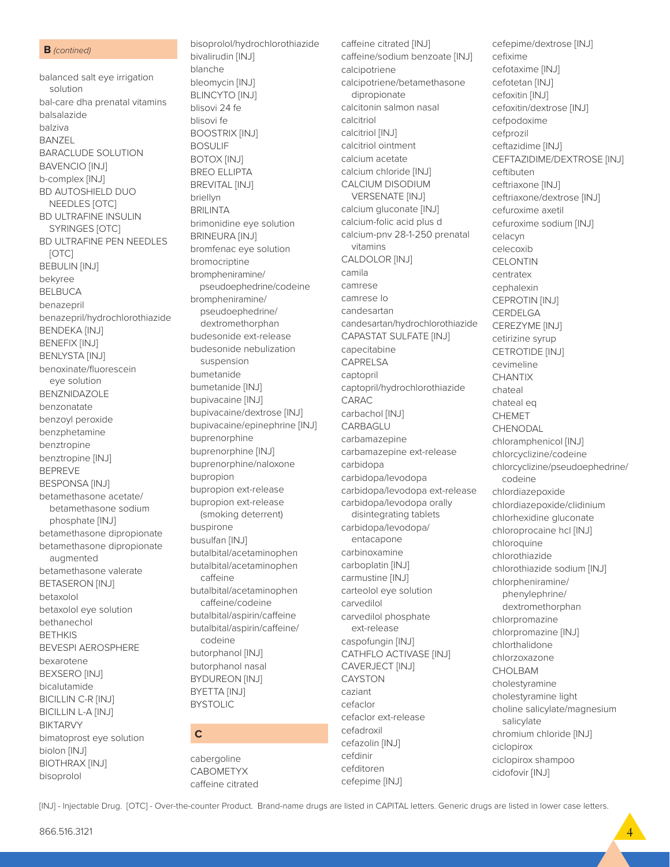#### **B** *(contined)*

balanced salt eye irrigation solution bal-care dha prenatal vitamins balsalazide balziva BANZEL BARACLUDE SOLUTION BAVENCIO [INJ] b-complex [INJ] BD AUTOSHIELD DUO NEEDLES [OTC] BD ULTRAFINE INSULIN SYRINGES [OTC] BD ULTRAFINE PEN NEEDLES [OTC] BEBULIN [INJ] bekyree BELBUCA benazepril benazepril/hydrochlorothiazide BENDEKA [INJ] BENEFIX [INJ] BENLYSTA [INJ] benoxinate/fluorescein eye solution BENZNIDAZOLE benzonatate benzoyl peroxide benzphetamine benztropine benztropine [INJ] BEPREVE BESPONSA [INJ] betamethasone acetate/ betamethasone sodium phosphate [INJ] betamethasone dipropionate betamethasone dipropionate augmented betamethasone valerate BETASERON [INJ] betaxolol betaxolol eye solution bethanechol BETHKIS BEVESPI AEROSPHERE bexarotene BEXSERO [INJ] bicalutamide BICILLIN C-R [INJ] BICILLIN L-A [INJ] BIKTARVY bimatoprost eye solution biolon [INJ] BIOTHRAX [INJ] bisoprolol

bisoprolol/hydrochlorothiazide bivalirudin [INJ] blanche bleomycin [INJ] BLINCYTO [INJ] blisovi 24 fe blisovi fe BOOSTRIX [INJ] BOSULIF BOTOX [INJ] BREO ELLIPTA BREVITAL [INJ] briellyn BRILINTA brimonidine eye solution BRINEURA [INJ] bromfenac eye solution bromocriptine brompheniramine/ pseudoephedrine/codeine brompheniramine/ pseudoephedrine/ dextromethorphan budesonide ext-release budesonide nebulization suspension bumetanide bumetanide [INJ] bupivacaine [INJ] bupivacaine/dextrose [INJ] bupivacaine/epinephrine [INJ] buprenorphine buprenorphine [INJ] buprenorphine/naloxone bupropion bupropion ext-release bupropion ext-release (smoking deterrent) buspirone busulfan [INJ] butalbital/acetaminophen butalbital/acetaminophen caffeine butalbital/acetaminophen caffeine/codeine butalbital/aspirin/caffeine butalbital/aspirin/caffeine/ codeine butorphanol [INJ] butorphanol nasal BYDUREON [INJ] BYETTA [INJ] BYSTOLIC **C**

cabergoline CABOMETYX caffeine citrated caffeine citrated [INJ] caffeine/sodium benzoate [INJ] calcipotriene calcipotriene/betamethasone dipropionate calcitonin salmon nasal calcitriol calcitriol [INJ] calcitriol ointment calcium acetate calcium chloride [INJ] CALCIUM DISODIUM VERSENATE [INJ] calcium gluconate [INJ] calcium-folic acid plus d calcium-pnv 28-1-250 prenatal vitamins CALDOLOR [INJ] camila camrese camrese lo candesartan candesartan/hydrochlorothiazide CAPASTAT SULFATE [INJ] capecitabine CAPRELSA captopril captopril/hydrochlorothiazide CARAC carbachol [INJ] CARBAGLU carbamazepine carbamazepine ext-release carbidopa carbidopa/levodopa carbidopa/levodopa ext-release carbidopa/levodopa orally disintegrating tablets carbidopa/levodopa/ entacapone carbinoxamine carboplatin [INJ] carmustine [INJ] carteolol eye solution carvedilol carvedilol phosphate ext-release caspofungin [INJ] CATHFLO ACTIVASE [INJ] CAVERJECT [INJ] CAYSTON caziant cefaclor cefaclor ext-release cefadroxil cefazolin [INJ] cefdinir cefditoren cefepime [INJ]

cefepime/dextrose [INJ] cefixime cefotaxime [INJ] cefotetan [INJ] cefoxitin [INJ] cefoxitin/dextrose [INJ] cefpodoxime cefprozil ceftazidime [INJ] CEFTAZIDIME/DEXTROSE [INJ] ceftibuten ceftriaxone [INJ] ceftriaxone/dextrose [INJ] cefuroxime axetil cefuroxime sodium [INJ] celacyn celecoxib **CELONTIN** centratex cephalexin CEPROTIN [INJ] CERDELGA CEREZYME [INJ] cetirizine syrup CETROTIDE [INJ] cevimeline **CHANTIX** chateal chateal eq CHEMET CHENODAL chloramphenicol [INJ] chlorcyclizine/codeine chlorcyclizine/pseudoephedrine/ codeine chlordiazepoxide chlordiazepoxide/clidinium chlorhexidine gluconate chloroprocaine hcl [INJ] chloroquine chlorothiazide chlorothiazide sodium [INJ] chlorpheniramine/ phenylephrine/ dextromethorphan chlorpromazine chlorpromazine [INJ] chlorthalidone chlorzoxazone CHOLBAM cholestyramine cholestyramine light choline salicylate/magnesium salicylate chromium chloride [INJ] ciclopirox ciclopirox shampoo cidofovir [INJ]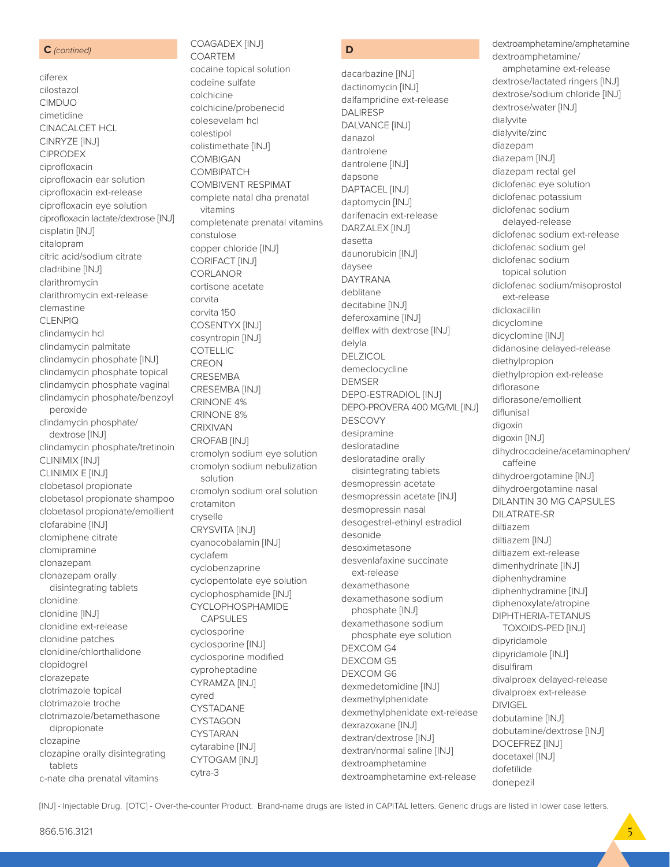#### **C** *(contined)*

ciferex cilostazol CIMDUO cimetidine CINACALCET HCL CINRYZE [INJ] CIPRODEX ciprofloxacin ciprofloxacin ear solution ciprofloxacin ext-release ciprofloxacin eye solution ciprofloxacin lactate/dextrose [INJ] cisplatin [INJ] citalopram citric acid/sodium citrate cladribine [INJ] clarithromycin clarithromycin ext-release clemastine CLENPIQ clindamycin hcl clindamycin palmitate clindamycin phosphate [INJ] clindamycin phosphate topical clindamycin phosphate vaginal clindamycin phosphate/benzoyl peroxide clindamycin phosphate/ dextrose [INJ] clindamycin phosphate/tretinoin CLINIMIX [INJ] CLINIMIX E [INJ] clobetasol propionate clobetasol propionate shampoo clobetasol propionate/emollient clofarabine [INJ] clomiphene citrate clomipramine clonazepam clonazepam orally disintegrating tablets clonidine clonidine [INJ] clonidine ext-release clonidine patches clonidine/chlorthalidone clopidogrel clorazepate clotrimazole topical clotrimazole troche clotrimazole/betamethasone dipropionate clozapine clozapine orally disintegrating tablets c-nate dha prenatal vitamins

### COAGADEX [INJ] COARTEM

cocaine topical solution codeine sulfate colchicine colchicine/probenecid colesevelam hcl colestipol colistimethate [INJ] COMBIGAN **COMBIPATCH** COMBIVENT RESPIMAT complete natal dha prenatal vitamins completenate prenatal vitamins constulose copper chloride [INJ] CORIFACT [INJ] CORLANOR cortisone acetate corvita corvita 150 COSENTYX [INJ] cosyntropin [INJ] COTELLIC CREON CRESEMBA CRESEMBA [INJ] CRINONE 4% CRINONE 8% CRIXIVAN CROFAB [INJ] cromolyn sodium eye solution cromolyn sodium nebulization solution cromolyn sodium oral solution crotamiton cryselle CRYSVITA [INJ] cyanocobalamin [INJ] cyclafem cyclobenzaprine cyclopentolate eye solution cyclophosphamide [INJ] CYCLOPHOSPHAMIDE CAPSULES cyclosporine cyclosporine [INJ] cyclosporine modified cyproheptadine CYRAMZA [INJ] cyred CYSTADANE **CYSTAGON** CYSTARAN cytarabine [INJ] CYTOGAM [INJ] cytra-3

### **D**

dacarbazine [INJ] dactinomycin [INJ] dalfampridine ext-release DALIRESP DALVANCE [INJ] danazol dantrolene dantrolene [INJ] dapsone DAPTACEL [INJ] daptomycin [INJ] darifenacin ext-release DARZALEX [INJ] dasetta daunorubicin [INJ] daysee DAYTRANA deblitane decitabine [INJ] deferoxamine [INJ] delflex with dextrose [INJ] delyla DELZICOL demeclocycline DEMSER DEPO-ESTRADIOL [INJ] DEPO-PROVERA 400 MG/ML [INJ] DESCOVY desipramine desloratadine desloratadine orally disintegrating tablets desmopressin acetate desmopressin acetate [INJ] desmopressin nasal desogestrel-ethinyl estradiol desonide desoximetasone desvenlafaxine succinate ext-release dexamethasone dexamethasone sodium phosphate [INJ] dexamethasone sodium phosphate eye solution DEXCOM G4 DEXCOM G5 DEXCOM G6 dexmedetomidine [INJ] dexmethylphenidate dexmethylphenidate ext-release dexrazoxane [INJ] dextran/dextrose [INJ] dextran/normal saline [INJ] dextroamphetamine dextroamphetamine ext-release

dextroamphetamine/amphetamine dextroamphetamine/ amphetamine ext-release dextrose/lactated ringers [INJ] dextrose/sodium chloride [INJ] dextrose/water [INJ] dialyvite dialyvite/zinc diazepam diazepam [INJ] diazepam rectal gel diclofenac eye solution diclofenac potassium diclofenac sodium delayed-release diclofenac sodium ext-release diclofenac sodium gel diclofenac sodium topical solution diclofenac sodium/misoprostol ext-release dicloxacillin dicyclomine dicyclomine [INJ] didanosine delayed-release diethylpropion diethylpropion ext-release diflorasone diflorasone/emollient diflunisal digoxin digoxin [INJ] dihydrocodeine/acetaminophen/ caffeine dihydroergotamine [INJ] dihydroergotamine nasal DILANTIN 30 MG CAPSULES DILATRATE-SR diltiazem diltiazem [INJ] diltiazem ext-release dimenhydrinate [INJ] diphenhydramine diphenhydramine [INJ] diphenoxylate/atropine DIPHTHERIA-TETANUS TOXOIDS-PED [INJ] dipyridamole dipyridamole [INJ] disulfiram divalproex delayed-release divalproex ext-release DIVIGEL dobutamine [INJ] dobutamine/dextrose [INJ] DOCEFREZ [INJ] docetaxel [INJ] dofetilide donepezil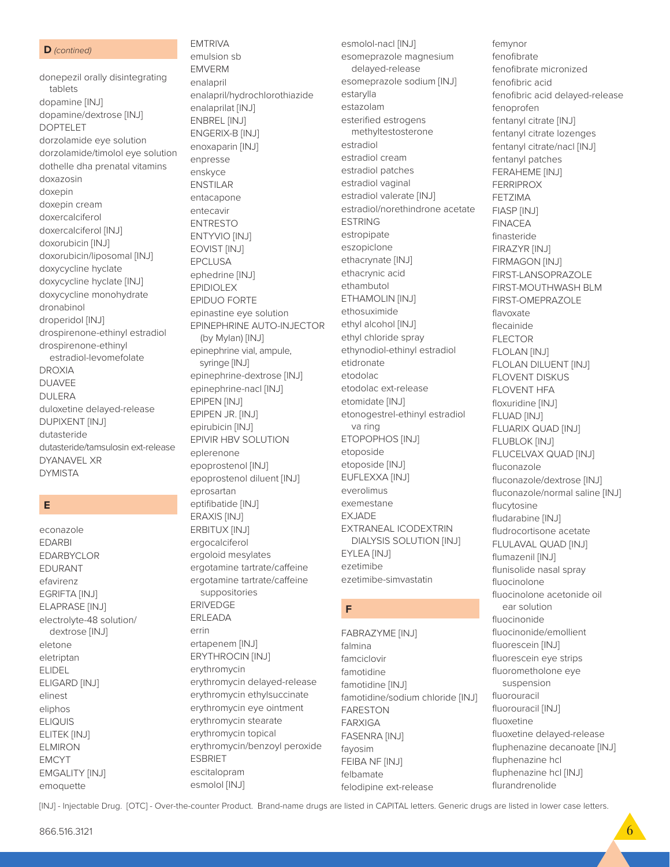#### D (contined)

donepezil orally disintegrating tablets dopamine [INJ] dopamine/dextrose [INJ] **DOPTELET** dorzolamide eye solution dorzolamide/timolol eye solution dothelle dha prenatal vitamins doxazosin doxepin doxepin cream doxercalciferol doxercalciferol [INJ] doxorubicin [INJ] doxorubicin/liposomal [INJ] doxycycline hyclate doxycycline hyclate [INJ] doxycycline monohydrate dronabinol droperidol [INJ] drospirenone-ethinyl estradiol drospirenone-ethinyl estradiol-levomefolate **DROXIA DUAVEE DULERA** duloxetine delayed-release **DUPIXENT [INJ]** dutasteride dutasteride/tamsulosin ext-release **DYANAVEL XR DYMISTA** 

### E

econazole **FDARRI EDARBYCLOR** EDURANT efavirenz EGRIFTA [INJ] **ELAPRASE [INJ]** electrolyte-48 solution/ dextrose [INJ] eletone eletriptan **ELIDEL ELIGARD [INJ]** elinest eliphos **ELIQUIS** ELITEK [INJ] **ELMIRON EMCYT EMGALITY [INJ]** emoquette

emulsion sb **EMVERM** enalapril enalapril/hydrochlorothiazide enalaprilat [INJ] ENBREL [INJ] ENGERIX-B [INJ] enoxaparin [INJ] enpresse enskyce **ENSTILAR** entacapone entecavir **ENTRESTO** ENTYVIO [INJ] EOVIST [INJ] **EPCLUSA** ephedrine [INJ] **EPIDIOLEX EPIDUO FORTE** epinastine eye solution EPINEPHRINE AUTO-INJECTOR (by Mylan) [INJ] epinephrine vial, ampule, syringe [INJ] epinephrine-dextrose [INJ] epinephrine-nacl [INJ] EPIPEN [INJ] EPIPEN JR. [INJ] epirubicin [INJ] EPIVIR HBV SOLUTION eplerenone epoprostenol [INJ] epoprostenol diluent [INJ] eprosartan eptifibatide [INJ] ERAXIS [INJ] ERBITUX [INJ] ergocalciferol ergoloid mesylates ergotamine tartrate/caffeine ergotamine tartrate/caffeine suppositories **FRIVEDGE ERLEADA** errin ertapenem [INJ] ERYTHROCIN [INJ] erythromycin erythromycin delayed-release erythromycin ethylsuccinate erythromycin eye ointment erythromycin stearate

erythromycin topical

**ESBRIET** 

escitalopram

esmolol [INJ]

erythromycin/benzoyl peroxide

**EMTRIVA** 

esmolol-nacl [INJ] esomeprazole magnesium delayed-release esomeprazole sodium [INJ] estarylla estazolam esterified estrogens methyltestosterone estradiol estradiol cream estradiol patches estradiol vaginal estradiol valerate [INJ] estradiol/norethindrone acetate **ESTRING** estropipate eszopiclone ethacrynate [INJ] ethacrynic acid ethambutol ETHAMOLIN [INJ] ethosuximide ethyl alcohol [INJ] ethyl chloride spray ethynodiol-ethinyl estradiol etidronate etodolac etodolac ext-release etomidate [INJ] etonogestrel-ethinyl estradiol va ring ETOPOPHOS [INJ] etoposide etoposide [INJ] EUFLEXXA [INJ] everolimus exemestane **EXJADE** EXTRANEAL ICODEXTRIN **DIALYSIS SOLUTION [INJ]** EYLEA [INJ] ezetimibe ezetimibe-simvastatin F FABRAZYME [INJ]

falmina famciclovir famotidine famotidine [INJ] famotidine/sodium chloride [INJ] **FARESTON FARXIGA FASENRA [INJ]** favosim FEIBA NF [INJ] felbamate felodipine ext-release

femynor fenofibrate fenofibrate micronized fenofibric acid fenofibric acid delayed-release fenoprofen fentanyl citrate [INJ] fentanyl citrate lozenges fentanyl citrate/nacl [INJ] fentanyl patches FERAHEME [INJ] **FERRIPROX FFT7IMA** FIASP [INJ] **FINACEA** finasteride FIRAZYR [INJ] FIRMAGON [INJ] FIRST-LANSOPRAZOLE FIRST-MOUTHWASH BLM FIRST-OMEPRAZOLE flavoxate flecainide **FLECTOR FLOLAN [INJ] FLOLAN DILUENT [INJ]** FLOVENT DISKUS **FLOVENT HFA** floxuridine [INJ] FLUAD [INJ] FLUARIX QUAD [INJ] **FLUBLOK [INJ]** FLUCELVAX QUAD [INJ] fluconazole fluconazole/dextrose [INJ] fluconazole/normal saline [INJ] flucytosine fludarabine [INJ] fludrocortisone acetate FLULAVAL QUAD [INJ] flumazenil [INJ] flunisolide nasal sprav fluocinolone fluocinolone acetonide oil ear solution fluocinonide fluocinonide/emollient fluorescein [INJ] fluorescein eye strips fluorometholone eve suspension fluorouracil fluorouracil [INJ] fluoxetine fluoxetine delayed-release fluphenazine decanoate [INJ] fluphenazine hcl fluphenazine hcl [INJ]

flurandrenolide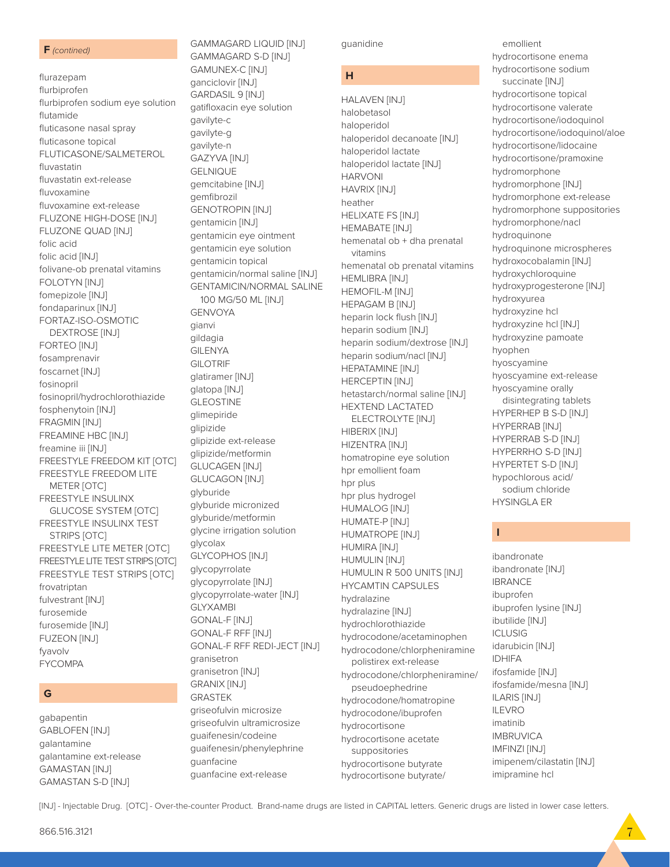#### **F** *(contined)*

flurazepam flurbiprofen flurbiprofen sodium eye solution flutamide fluticasone nasal spray fluticasone topical FLUTICASONE/SALMETEROL fluvastatin fluvastatin ext-release fluvoxamine fluvoxamine ext-release FLUZONE HIGH-DOSE [INJ] FLUZONE QUAD [INJ] folic acid folic acid [INJ] folivane-ob prenatal vitamins FOLOTYN [INJ] fomepizole [INJ] fondaparinux [INJ] FORTAZ-ISO-OSMOTIC DEXTROSE [INJ] FORTEO [INJ] fosamprenavir foscarnet [INJ] fosinopril fosinopril/hydrochlorothiazide fosphenytoin [INJ] FRAGMIN [INJ] FREAMINE HBC [INJ] freamine iii [INJ] FREESTYLE FREEDOM KIT [OTC] FREESTYLE FREEDOM LITE METER [OTC] FREESTYLE INSULINX GLUCOSE SYSTEM [OTC] FREESTYLE INSULINX TEST STRIPS [OTC] FREESTYLE LITE METER [OTC] FREESTYLE LITE TEST STRIPS [OTC] FREESTYLE TEST STRIPS [OTC] frovatriptan fulvestrant [INJ] furosemide furosemide [INJ] FUZEON [INJ] fyavolv FYCOMPA

### **G**

gabapentin GABLOFEN [INJ] galantamine galantamine ext-release GAMASTAN [INJ] GAMASTAN S-D [INJ]

GAMMAGARD S-D [INJ] GAMUNEX-C [INJ] ganciclovir [INJ] GARDASIL 9 [INJ] gatifloxacin eye solution gavilyte-c gavilyte-g gavilyte-n GAZYVA [INJ] GELNIQUE gemcitabine [INJ] gemfibrozil GENOTROPIN [INJ] gentamicin [INJ] gentamicin eye ointment gentamicin eye solution gentamicin topical gentamicin/normal saline [INJ] GENTAMICIN/NORMAL SALINE 100 MG/50 ML [INJ] GENVOYA gianvi gildagia GILENYA GILOTRIF glatiramer [INJ] glatopa [INJ] **GLEOSTINE** glimepiride glipizide glipizide ext-release glipizide/metformin GLUCAGEN [INJ] GLUCAGON [INJ] glyburide glyburide micronized glyburide/metformin glycine irrigation solution glycolax GLYCOPHOS [INJ] glycopyrrolate glycopyrrolate [INJ] glycopyrrolate-water [INJ] GLYXAMBI GONAL-F [INJ] GONAL-F RFF [INJ] GONAL-F RFF REDI-JECT [INJ] granisetron granisetron [INJ] GRANIX [INJ] GRASTEK griseofulvin microsize griseofulvin ultramicrosize guaifenesin/codeine guaifenesin/phenylephrine guanfacine guanfacine ext-release

GAMMAGARD LIQUID [INJ]

guanidine **H** HALAVEN [INJ] halobetasol haloperidol haloperidol decanoate [INJ] haloperidol lactate haloperidol lactate [INJ] HARVONI HAVRIX [INJ] heather HELIXATE FS [INJ] HEMABATE [INJ] hemenatal ob + dha prenatal vitamins hemenatal ob prenatal vitamins HEMLIBRA [INJ] HEMOFIL-M [INJ] HEPAGAM B [INJ] heparin lock flush [INJ] heparin sodium [INJ] heparin sodium/dextrose [INJ] heparin sodium/nacl [INJ] HEPATAMINE [INJ] HERCEPTIN [INJ] hetastarch/normal saline [INJ] HEXTEND LACTATED ELECTROLYTE [INJ]

HIBERIX [INJ] HIZENTRA [INJ] homatropine eye solution hpr emollient foam hpr plus hpr plus hydrogel HUMALOG [INJ] HUMATE-P [INJ] HUMATROPE [INJ] HUMIRA [INJ] HUMULIN [INJ] HUMULIN R 500 UNITS [INJ] HYCAMTIN CAPSULES hydralazine hydralazine [INJ] hydrochlorothiazide hydrocodone/acetaminophen hydrocodone/chlorpheniramine polistirex ext-release hydrocodone/chlorpheniramine/ pseudoephedrine hydrocodone/homatropine hydrocodone/ibuprofen hydrocortisone hydrocortisone acetate suppositories hydrocortisone butyrate hydrocortisone butyrate/

 emollient hydrocortisone enema hydrocortisone sodium succinate [INJ] hydrocortisone topical hydrocortisone valerate hydrocortisone/iodoquinol hydrocortisone/iodoquinol/aloe hydrocortisone/lidocaine hydrocortisone/pramoxine hydromorphone hydromorphone [INJ] hydromorphone ext-release hydromorphone suppositories hydromorphone/nacl hydroquinone hydroquinone microspheres hydroxocobalamin [INJ] hydroxychloroquine hydroxyprogesterone [INJ] hydroxyurea hydroxyzine hcl hydroxyzine hcl [INJ] hydroxyzine pamoate hyophen hyoscyamine hyoscyamine ext-release hyoscyamine orally disintegrating tablets HYPERHEP B S-D [INJ] HYPERRAB [INJ] HYPERRAB S-D [INJ] HYPERRHO S-D [INJ] HYPERTET S-D [INJ] hypochlorous acid/ sodium chloride

### **I**

HYSINGLA ER

ibandronate ibandronate [INJ] IBRANCE ibuprofen ibuprofen lysine [INJ] ibutilide [INJ] **ICLUSIG** idarubicin [INJ] IDHIFA ifosfamide [INJ] ifosfamide/mesna [INJ] ILARIS [INJ] ILEVRO imatinib IMBRUVICA IMFINZI [INJ] imipenem/cilastatin [INJ] imipramine hcl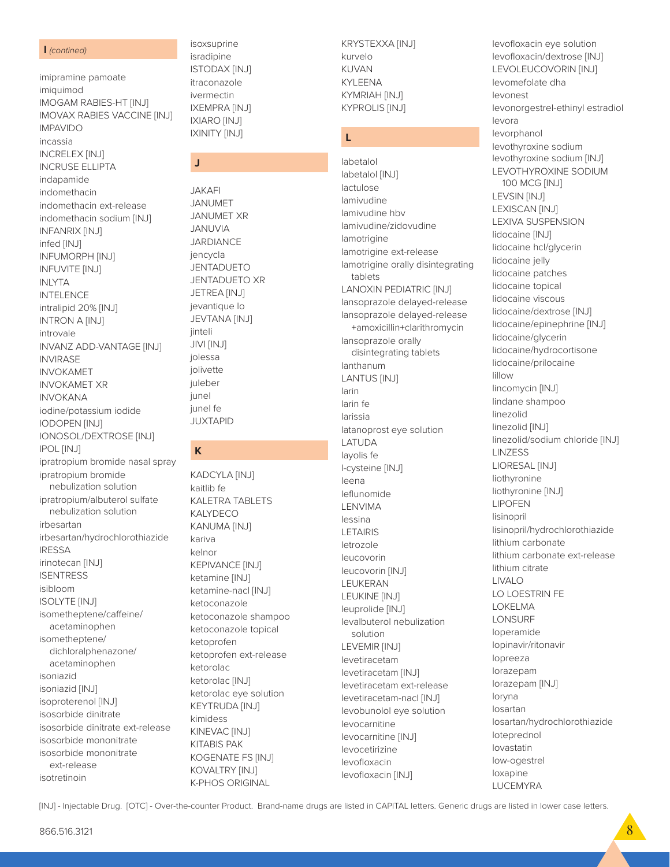#### $\mathsf{I}$  (contined)

imipramine pamoate imiquimod IMOGAM RABIES-HT [INJ] **IMOVAX RABIES VACCINE [INJ] IMPAVIDO** incassia **INCRELEX [INJ] INCRUSE ELLIPTA** indapamide indomethacin indomethacin ext-release indomethacin sodium [INJ] **INFANRIX [INJ]** infed [INJ] **INFUMORPH [INJ] INFUVITE [INJ] INLYTA INTELENCE** intralipid 20% [INJ] **INTRON A [INJ]** introvale INVANZ ADD-VANTAGE [INJ] **INVIRASE INVOKAMET INVOKAMET XR INVOKANA** iodine/potassium iodide **IODOPEN [INJ] IONOSOL/DEXTROSE [INJ] IPOL [INJ]** ipratropium bromide nasal spray ipratropium bromide nebulization solution ipratropium/albuterol sulfate nebulization solution irbesartan irbesartan/hydrochlorothiazide **IRESSA** irinotecan [INJ] **ISENTRESS** isibloom **ISOLYTE [INJ]** isometheptene/caffeine/ acetaminophen isometheptene/ dichloralphenazone/ acetaminophen isoniazid isoniazid [INJ] isoproterenol [INJ] isosorbide dinitrate isosorbide dinitrate ext-release isosorbide mononitrate

isoxsuprine isradipine **ISTODAX [INJ]** itraconazole ivermectin **IXEMPRA [INJ] IXIARO [INJ] IXINITY [INJ]** 

### J

**JAKAFI JANUMET JANUMET XR JANUVIA JARDIANCE** jencycla **JENTADUETO JENTADUETO XR** JETREA [INJ] jevantique lo **JEVTANA [INJ]** jinteli JIVI [INJ] jolessa iolivette juleber junel junel fe **JUXTAPID** 

### K

KADCYLA [INJ] kaitlib fe **KALETRA TABLETS KALYDECO KANUMA [INJ]** kariva kelnor **KEPIVANCE [INJ]** ketamine [INJ] ketamine-nacl [INJ] ketoconazole ketoconazole shampoo ketoconazole topical ketoprofen ketoprofen ext-release ketorolac ketorolac [INJ] ketorolac eye solution **KEYTRUDA [INJ]** kimidess KINEVAC [INJ] **KITABIS PAK KOGENATE FS [INJ]** KOVALTRY [INJ] **K-PHOS ORIGINAL** 

KRYSTEXXA [INJ] kurvelo **KINAN KYI FFNA** KYMRIAH [INJ] **KYPROLIS [INJ]** 

### L

labetalol labetalol [INJ] lactulose lamivudine lamivudine hbv lamivudine/zidovudine lamotrigine lamotrigine ext-release lamotrigine orally disintegrating tablets **LANOXIN PEDIATRIC [INJ]** lansoprazole delayed-release lansoprazole delayed-release +amoxicillin+clarithromycin lansoprazole orally disintegrating tablets lanthanum **LANTUS [INJ]** larin larin fe larissia latanoprost eye solution LATUDA layolis fe I-cysteine [INJ] leena leflunomide LENVIMA lessina **LETAIRIS** letrozole leucovorin leucovorin [INJ] LEUKERAN LEUKINE [INJ] leuprolide [INJ] levalbuterol nebulization solution LEVEMIR [INJ] levetiracetam levetiracetam [INJ] levetiracetam ext-release levetiracetam-nacl [INJ] levobunolol eye solution levocarnitine levocarnitine [INJ] levocetirizine levofloxacin levofloxacin [INJ]

levofloxacin eye solution levofloxacin/dextrose [INJ] LEVOLEUCOVORIN [INJ] levomefolate dha levonest levonorgestrel-ethinyl estradiol levora levorphanol levothyroxine sodium levothyroxine sodium [INJ] LEVOTHYROXINE SODIUM 100 MCG [INJ] LEVSIN [INJ] LEXISCAN [INJ] LEXIVA SUSPENSION lidocaine [INJ] lidocaine hcl/glycerin lidocaine jelly lidocaine patches lidocaine topical lidocaine viscous lidocaine/dextrose [INJ] lidocaine/epinephrine [INJ] lidocaine/glycerin lidocaine/hydrocortisone lidocaine/prilocaine lillow lincomycin [INJ] lindane shampoo linezolid linezolid [INJ] linezolid/sodium chloride [INJ] **LINZESS** LIORESAL [INJ] liothyronine liothyronine [INJ] **LIPOFEN** lisinopril lisinopril/hydrochlorothiazide lithium carbonate lithium carbonate ext-release lithium citrate **LIVALO** LO LOESTRIN FE **LOKELMA** LONSURF loperamide lopinavir/ritonavir lopreeza lorazepam lorazepam [INJ] loryna losartan losartan/hydrochlorothiazide loteprednol lovastatin low-ogestrel loxapine **LUCEMYRA** 

[INJ] - Injectable Drug. [OTC] - Over-the-counter Product. Brand-name drugs are listed in CAPITAL letters. Generic drugs are listed in lower case letters.

isosorbide mononitrate

ext-release

isotretinoin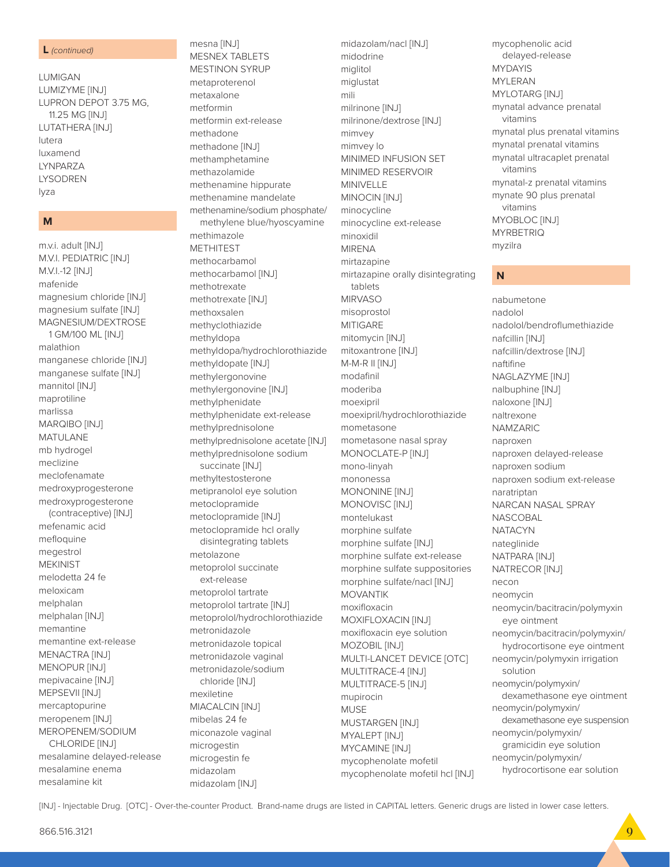mesalamine kit

m.v.i. adult [INJ] M.V.I. PEDIATRIC [INJ] M.V.I.-12 [INJ] mafenide magnesium chloride [INJ] magnesium sulfate [INJ] MAGNESIUM/DEXTROSE 1 GM/100 ML [INJ] malathion manganese chloride [INJ] manganese sulfate [INJ] mannitol [INJ] maprotiline marlissa MARQIBO [INJ] **MATULANE** mb hydrogel meclizine meclofenamate medroxyprogesterone medroxyprogesterone (contraceptive) [INJ] mefenamic acid mefloquine megestrol **MEKINIST** melodetta 24 fe meloxicam melphalan melphalan [INJ] memantine memantine ext-release MENACTRA [INJ] MENOPUR [INJ] mepivacaine [INJ] MEPSEVII [INJ] mercaptopurine meropenem [INJ] MEROPENEM/SODIUM CHLORIDE [INJ] mesalamine delayed-release mesalamine enema

#### M

**I UMIGAN** LUMIZYME [INJ] LUPRON DEPOT 3.75 MG, 11.25 MG [INJ] LUTATHERA [INJ] lutera luxamend I YNPAR7A **LYSODREN** lyza

L (continued)

mesna [INJ] **MESNEX TABLETS MESTINON SYRUP** metaproterenol metaxalone metformin metformin ext-release methadone methadone [INJ] methamphetamine methazolamide methenamine hippurate methenamine mandelate methenamine/sodium phosphate/ methylene blue/hyoscyamine methimazole **METHITEST** methocarbamol methocarbamol [INJ] methotrexate methotrexate [INJ] methoxsalen methyclothiazide methyldopa methyldopa/hydrochlorothiazide methyldopate [INJ] methylergonovine methylergonovine [INJ] methylphenidate methylphenidate ext-release methylprednisolone methylprednisolone acetate [INJ] methylprednisolone sodium succinate [INJ] methyltestosterone metipranolol eye solution metoclopramide metoclopramide [INJ] metoclopramide hcl orally disintegrating tablets metolazone metoprolol succinate ext-release metoprolol tartrate metoprolol tartrate [INJ] metoprolol/hydrochlorothiazide metronidazole metronidazole topical metronidazole vaginal metronidazole/sodium chloride [INJ] mexiletine MIACALCIN [INJ] mibelas 24 fe miconazole vaginal microgestin microgestin fe midazolam

midazolam/nacl [INJ] midodrine miglitol miglustat mili milrinone [INJ] milrinone/dextrose [INJ] mimvey mimvey lo MINIMED INFUSION SET MINIMED RESERVOIR MINIVELLE MINOCIN [INJ] minocycline minocycline ext-release minoxidil **MIRENA** mirtazapine mirtazapine orally disintegrating tablets **MIRVASO** misoprostol **MITIGARE** mitomycin [INJ] mitoxantrone [INJ] M-M-R II [INJ] modafinil moderiba moexipril moexipril/hydrochlorothiazide mometasone mometasone nasal spray MONOCLATE-P [INJ] mono-linyah mononessa MONONINE [INJ] MONOVISC<sup>[INJ]</sup> montelukast morphine sulfate morphine sulfate [INJ] morphine sulfate ext-release morphine sulfate suppositories morphine sulfate/nacl [INJ] **MOVANTIK** moxifloxacin MOXIFLOXACIN [INJ] moxifloxacin eye solution MOZOBIL [INJ] MULTI-LANCET DEVICE [OTC] MULTITRACE-4 [INJ] MULTITRACE-5 [INJ] mupirocin **MUSE** MUSTARGEN [INJ] MYALEPT [INJ] MYCAMINE [INJ] mycophenolate mofetil mycophenolate mofetil hcl [INJ]

mycophenolic acid delayed-release **MYDAYIS MYI FRAN** MYLOTARG [INJ] mynatal advance prenatal vitamins mynatal plus prenatal vitamins mynatal prenatal vitamins mynatal ultracaplet prenatal vitamins mynatal-z prenatal vitamins mynate 90 plus prenatal vitamins MYOBLOC [INJ] **MYRBETRIQ** myzilra

### N

nabumetone nadolol nadolol/bendroflumethiazide nafcillin [INJ] nafcillin/dextrose [INJ] naftifine NAGLAZYME [INJ] nalbuphine [INJ] naloxone [INJ] naltrexone NAMZARIC naproxen naproxen delayed-release naproxen sodium naproxen sodium ext-release naratriptan NARCAN NASAL SPRAY **NASCOBAL NATACYN** nateglinide NATPARA [INJ] NATRECOR [INJ] necon neomycin neomycin/bacitracin/polymyxin eye ointment neomycin/bacitracin/polymyxin/ hydrocortisone eye ointment neomycin/polymyxin irrigation solution neomycin/polymyxin/ dexamethasone eye ointment neomycin/polymyxin/ dexamethasone eye suspension neomycin/polymyxin/ gramicidin eye solution neomycin/polymyxin/ hydrocortisone ear solution

[INJ] - Injectable Drug. [OTC] - Over-the-counter Product. Brand-name drugs are listed in CAPITAL letters. Generic drugs are listed in lower case letters.

midazolam [INJ]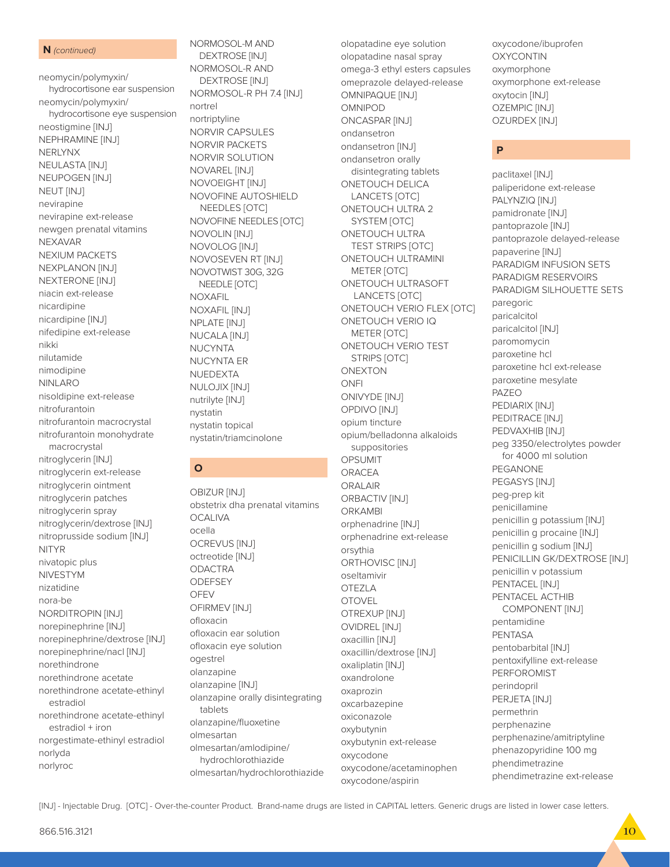#### N (continued)

neomycin/polymyxin/ hydrocortisone ear suspension neomycin/polymyxin/ hydrocortisone eye suspension neostigmine [INJ] NEPHRAMINE [INJ] **NERLYNX** NEULASTA [INJ] NEUPOGEN [INJ] NEUT [INJ] nevirapine nevirapine ext-release newgen prenatal vitamins **NEXAVAR** NEXIUM PACKETS **NEXPLANON [INJ]** NEXTERONE [INJ] niacin ext-release nicardipine nicardipine [INJ] nifedipine ext-release nikki nilutamide nimodipine **NINLARO** nisoldipine ext-release nitrofurantoin nitrofurantoin macrocrystal nitrofurantoin monohydrate macrocrystal nitroglycerin [INJ] nitroglycerin ext-release nitroglycerin ointment nitroglycerin patches nitroglycerin spray nitroglycerin/dextrose [INJ] nitroprusside sodium [INJ] **NITYR** nivatopic plus **NIVESTYM** nizatidine nora-be NORDITROPIN [INJ] norepinephrine [INJ] norepinephrine/dextrose [INJ] norepinephrine/nacl [INJ] norethindrone norethindrone acetate norethindrone acetate-ethinyl estradiol norethindrone acetate-ethinyl estradiol + iron norgestimate-ethinyl estradiol norlyda norlyroc

NORMOSOL-M AND **DEXTROSE [INJ]** NORMOSOL-R AND **DEXTROSE [INJ]** NORMOSOL-R PH 7.4 [INJ] nortrel nortriptyline **NORVIR CAPSULES NORVIR PACKETS** NORVIR SOLUTION NOVAREL [INJ] NOVOEIGHT [INJ] NOVOFINE AUTOSHIELD NEEDLES [OTC] NOVOFINE NEEDLES [OTC] NOVOLIN [INJ] NOVOLOG [INJ] NOVOSEVEN RT [INJ] NOVOTWIST 30G, 32G NEEDLE [OTC] **NOXAFIL** NOXAFIL [INJ] NPLATE [INJ] **NUCALA [INJ] NUCYNTA NUCYNTA ER** NUEDEXTA NULOJIX [INJ] nutrilyte [INJ] nystatin nystatin topical nystatin/triamcinolone

### $\mathbf{o}$

OBIZUR [INJ] obstetrix dha prenatal vitamins **OCALIVA** ocella **OCREVUS [INJ]** octreotide [INJ] **ODACTRA** ODEESEY OFEV OFIRMEV [INJ] ofloxacin ofloxacin ear solution ofloxacin eye solution ogestrel olanzapine olanzapine [INJ] olanzapine orally disintegrating tablets olanzapine/fluoxetine olmesartan olmesartan/amlodipine/ hydrochlorothiazide olmesartan/hydrochlorothiazide olopatadine eye solution olopatadine nasal spray omega-3 ethyl esters capsules omeprazole delayed-release OMNIPAQUE [INJ] OMNIPOD **ONCASPAR [INJ]** ondansetron ondansetron [INJ] ondansetron orally disintegrating tablets ONETOUCH DELICA LANCETS [OTC] ONETOUCH ULTRA 2 SYSTEM [OTC] **ONETOUCH ULTRA TEST STRIPS [OTC]** ONETOUCH ULTRAMINI METER [OTC] ONETOUCH ULTRASOFT LANCETS [OTC] ONETOUCH VERIO FLEX [OTC] ONETOUCH VERIO IQ METER [OTC] ONETOUCH VERIO TEST **STRIPS [OTC] ONEXTON** ONFI ONIVYDE [INJ] **OPDIVO [INJ]** opium tincture opium/belladonna alkaloids suppositories OPSUMIT ORACEA **ORALAIR** ORBACTIV [INJ] **ORKAMBI** orphenadrine [INJ] orphenadrine ext-release orsythia ORTHOVISC<sub>[INJ]</sub> oseltamivir OTEZLA **OTOVEL** OTREXUP [INJ] **OVIDREL [INJ]** oxacillin [INJ] oxacillin/dextrose [INJ] oxaliplatin [INJ] oxandrolone oxaprozin oxcarbazepine oxiconazole oxybutynin oxybutynin ext-release oxycodone oxycodone/acetaminophen oxycodone/aspirin

oxycodone/ibuprofen **OXYCONTIN** oxymorphone oxymorphone ext-release oxytocin [INJ] OZEMPIC [INJ] OZURDEX [INJ]

### P

paclitaxel [INJ] paliperidone ext-release PALYNZIQ [INJ] pamidronate [INJ] pantoprazole [INJ] pantoprazole delayed-release papaverine [INJ] PARADIGM INFUSION SETS PARADIGM RESERVOIRS PARADIGM SILHOUETTE SETS paregoric paricalcitol paricalcitol [INJ] paromomycin paroxetine hcl paroxetine hcl ext-release paroxetine mesylate PAZEO PEDIARIX [INJ] PEDITRACE [INJ] PEDVAXHIB [INJ] peg 3350/electrolytes powder for 4000 ml solution PEGANONE PEGASYS [INJ] peg-prep kit penicillamine penicillin g potassium [INJ] penicillin g procaine [INJ] penicillin q sodium [INJ] PENICILLIN GK/DEXTROSE [INJ] penicillin v potassium PENTACEL [INJ] PENTACEL ACTHIB COMPONENT [INJ] pentamidine **PENTASA** pentobarbital [INJ] pentoxifylline ext-release **PERFOROMIST** perindopril PERJETA [INJ] permethrin perphenazine perphenazine/amitriptyline phenazopyridine 100 mg phendimetrazine phendimetrazine ext-release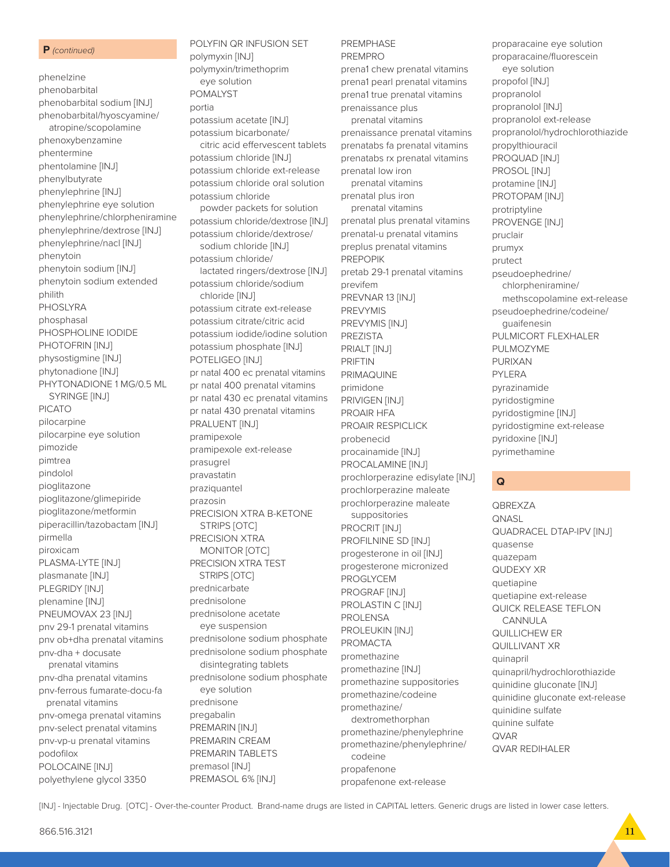#### **P** *(continued)*

phenelzine phenobarbital phenobarbital sodium [INJ] phenobarbital/hyoscyamine/ atropine/scopolamine phenoxybenzamine phentermine phentolamine [INJ] phenylbutyrate phenylephrine [INJ] phenylephrine eye solution phenylephrine/chlorpheniramine phenylephrine/dextrose [INJ] phenylephrine/nacl [INJ] phenytoin phenytoin sodium [INJ] phenytoin sodium extended philith PHOSLYRA phosphasal PHOSPHOLINE IODIDE PHOTOFRIN [INJ] physostigmine [INJ] phytonadione [INJ] PHYTONADIONE 1 MG/0.5 ML SYRINGE [INJ] PICATO pilocarpine pilocarpine eye solution pimozide pimtrea pindolol pioglitazone pioglitazone/glimepiride pioglitazone/metformin piperacillin/tazobactam [INJ] pirmella piroxicam PLASMA-LYTE [INJ] plasmanate [INJ] PLEGRIDY [INJ] plenamine [INJ] PNEUMOVAX 23 [INJ] pnv 29-1 prenatal vitamins pnv ob+dha prenatal vitamins pnv-dha + docusate prenatal vitamins pnv-dha prenatal vitamins pnv-ferrous fumarate-docu-fa prenatal vitamins pnv-omega prenatal vitamins pnv-select prenatal vitamins pnv-vp-u prenatal vitamins podofilox POLOCAINE [INJ] polyethylene glycol 3350

POLYFIN QR INFUSION SET polymyxin [INJ] polymyxin/trimethoprim eye solution POMALYST portia potassium acetate [INJ] potassium bicarbonate/ citric acid effervescent tablets potassium chloride [INJ] potassium chloride ext-release potassium chloride oral solution potassium chloride powder packets for solution potassium chloride/dextrose [INJ] potassium chloride/dextrose/ sodium chloride [INJ] potassium chloride/ lactated ringers/dextrose [INJ] potassium chloride/sodium chloride [INJ] potassium citrate ext-release potassium citrate/citric acid potassium iodide/iodine solution potassium phosphate [INJ] POTELIGEO [INJ] pr natal 400 ec prenatal vitamins pr natal 400 prenatal vitamins pr natal 430 ec prenatal vitamins pr natal 430 prenatal vitamins PRALUENT [INJ] pramipexole pramipexole ext-release prasugrel pravastatin praziquantel prazosin PRECISION XTRA B-KETONE STRIPS [OTC] PRECISION XTRA MONITOR [OTC] PRECISION XTRA TEST STRIPS [OTC] prednicarbate prednisolone prednisolone acetate eye suspension prednisolone sodium phosphate prednisolone sodium phosphate disintegrating tablets prednisolone sodium phosphate eye solution prednisone pregabalin PREMARIN [INJ] PREMARIN CREAM PREMARIN TABLETS premasol [INJ] PREMASOL 6% [INJ]

#### **PREMPHASE** PREMPRO

prena1 chew prenatal vitamins prena1 pearl prenatal vitamins prena1 true prenatal vitamins prenaissance plus prenatal vitamins prenaissance prenatal vitamins prenatabs fa prenatal vitamins prenatabs rx prenatal vitamins prenatal low iron prenatal vitamins prenatal plus iron prenatal vitamins prenatal plus prenatal vitamins prenatal-u prenatal vitamins preplus prenatal vitamins PREPOPIK pretab 29-1 prenatal vitamins previfem PREVNAR 13 [INJ] PREVYMIS PREVYMIS [INJ] PREZISTA PRIALT [INJ] PRIFTIN PRIMAQUINE primidone PRIVIGEN [INJ] PROAIR HFA PROAIR RESPICLICK probenecid procainamide [INJ] PROCALAMINE [INJ] prochlorperazine edisylate [INJ] prochlorperazine maleate prochlorperazine maleate suppositories PROCRIT [INJ] PROFILNINE SD [INJ] progesterone in oil [INJ] progesterone micronized PROGLYCEM PROGRAF [INJ] PROLASTIN C [INJ] **PROLENSA** PROLEUKIN [INJ] PROMACTA promethazine promethazine [INJ] promethazine suppositories promethazine/codeine promethazine/ dextromethorphan promethazine/phenylephrine promethazine/phenylephrine/ codeine propafenone propafenone ext-release

proparacaine eye solution proparacaine/fluorescein eye solution propofol [INJ] propranolol propranolol [INJ] propranolol ext-release propranolol/hydrochlorothiazide propylthiouracil PROQUAD [INJ] PROSOL [INJ] protamine [INJ] PROTOPAM [INJ] protriptyline PROVENGE [INJ] pruclair prumyx prutect pseudoephedrine/ chlorpheniramine/ methscopolamine ext-release pseudoephedrine/codeine/ guaifenesin PULMICORT FLEXHALER PULMOZYME PURIXAN PYLERA pyrazinamide pyridostigmine pyridostigmine [INJ] pyridostigmine ext-release pyridoxine [INJ] pyrimethamine

### **Q**

**QBREXZA QNASL** QUADRACEL DTAP-IPV [INJ] quasense quazepam QUDEXY XR quetiapine quetiapine ext-release QUICK RELEASE TEFLON CANNULA QUILLICHEW ER QUILLIVANT XR quinapril quinapril/hydrochlorothiazide quinidine gluconate [INJ] quinidine gluconate ext-release quinidine sulfate quinine sulfate QVAR QVAR REDIHALER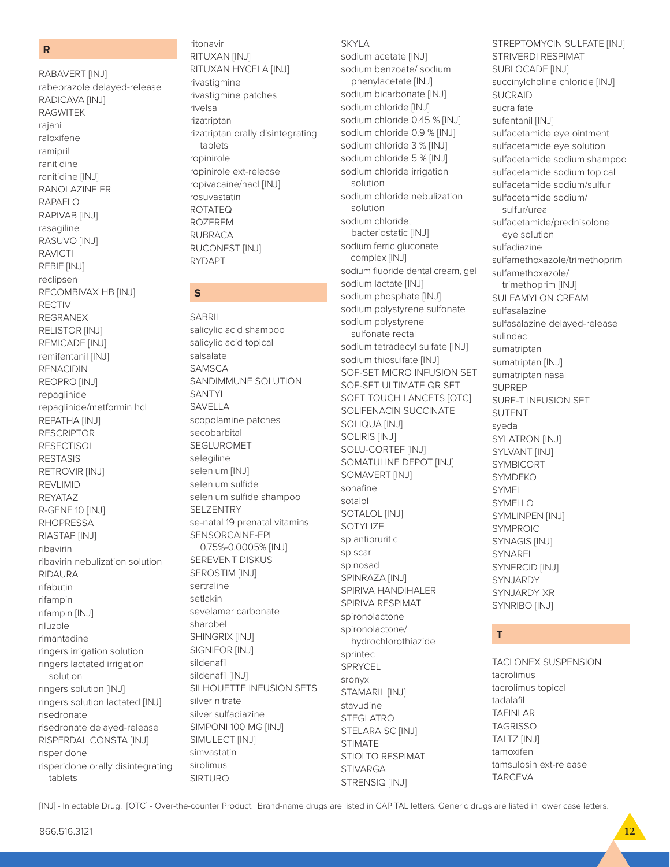#### **R**

RABAVERT [INJ] rabeprazole delayed-release RADICAVA [INJ] RAGWITEK rajani raloxifene ramipril ranitidine ranitidine [INJ] RANOLAZINE ER RAPAFLO RAPIVAB [INJ] rasagiline RASUVO [INJ] RAVICTI REBIF [INJ] reclipsen RECOMBIVAX HB [INJ] RECTIV REGRANEX RELISTOR [INJ] REMICADE [INJ] remifentanil [INJ] RENACIDIN REOPRO [INJ] repaglinide repaglinide/metformin hcl REPATHA [INJ] RESCRIPTOR **RESECTISOL** RESTASIS RETROVIR [INJ] REVLIMID REYATAZ R-GENE 10 [INJ] RHOPRESSA RIASTAP [INJ] ribavirin ribavirin nebulization solution RIDAURA rifabutin rifampin rifampin [INJ] riluzole rimantadine ringers irrigation solution ringers lactated irrigation solution ringers solution [INJ] ringers solution lactated [INJ] risedronate risedronate delayed-release RISPERDAL CONSTA [INJ] risperidone risperidone orally disintegrating tablets

ritonavir RITUXAN [INJ] RITUXAN HYCELA [INJ] rivastigmine rivastigmine patches rivelsa rizatriptan rizatriptan orally disintegrating tablets ropinirole ropinirole ext-release ropivacaine/nacl [INJ] rosuvastatin ROTATEQ ROZEREM RUBRACA RUCONEST [INJ] RYDAPT

### **S**

SABRIL salicylic acid shampoo salicylic acid topical salsalate SAMSCA SANDIMMUNE SOLUTION SANTYL SAVELLA scopolamine patches secobarbital SEGLUROMET selegiline selenium [INJ] selenium sulfide selenium sulfide shampoo **SELZENTRY** se-natal 19 prenatal vitamins SENSORCAINE-EPI 0.75%-0.0005% [INJ] SEREVENT DISKUS SEROSTIM [INJ] sertraline setlakin sevelamer carbonate sharobel SHINGRIX [INJ] SIGNIFOR [INJ] sildenafil sildenafil [INJ] SILHOUETTE INFUSION SETS silver nitrate silver sulfadiazine SIMPONI 100 MG [INJ] SIMULECT [INJ] simvastatin sirolimus SIRTURO

#### SKYLA

sodium acetate [INJ] sodium benzoate/ sodium phenylacetate [INJ] sodium bicarbonate [INJ] sodium chloride [INJ] sodium chloride 0.45 % [INJ] sodium chloride 0.9 % [INJ] sodium chloride 3 % [INJ] sodium chloride 5 % [INJ] sodium chloride irrigation solution sodium chloride nebulization solution sodium chloride, bacteriostatic [INJ] sodium ferric gluconate complex [INJ] sodium fluoride dental cream, gel sodium lactate [INJ] sodium phosphate [INJ] sodium polystyrene sulfonate sodium polystyrene sulfonate rectal sodium tetradecyl sulfate [INJ] sodium thiosulfate [INJ] SOF-SET MICRO INFUSION SET SOF-SET ULTIMATE QR SET SOFT TOUCH LANCETS [OTC] SOLIFENACIN SUCCINATE SOLIQUA [INJ] SOLIRIS [INJ] SOLU-CORTEF [INJ] SOMATULINE DEPOT [INJ] SOMAVERT [INJ] sonafine sotalol SOTALOL [INJ] SOTYLIZE sp antipruritic sp scar spinosad SPINRAZA [INJ] SPIRIVA HANDIHALER SPIRIVA RESPIMAT spironolactone spironolactone/ hydrochlorothiazide sprintec SPRYCEL sronyx STAMARIL [INJ] stavudine STEGLATRO STELARA SC [INJ] STIMATE STIOLTO RESPIMAT **STIVARGA** STRENSIQ [INJ]

STREPTOMYCIN SULFATE [INJ] STRIVERDI RESPIMAT SUBLOCADE [INJ] succinylcholine chloride [INJ] **SUCRAID** sucralfate sufentanil [INJ] sulfacetamide eye ointment sulfacetamide eye solution sulfacetamide sodium shampoo sulfacetamide sodium topical sulfacetamide sodium/sulfur sulfacetamide sodium/ sulfur/urea sulfacetamide/prednisolone eye solution sulfadiazine sulfamethoxazole/trimethoprim sulfamethoxazole/ trimethoprim [INJ] SULFAMYLON CREAM sulfasalazine sulfasalazine delayed-release sulindac sumatriptan sumatriptan [INJ] sumatriptan nasal SUPREP SURE-T INFUSION SET SUTENT syeda SYLATRON [INJ] SYLVANT [INJ] SYMBICORT SYMDEKO SYMFI SYMFI LO SYMLINPEN [INJ] SYMPROIC SYNAGIS [INJ] SYNAREL SYNERCID [INJ] SYNJARDY SYNJARDY XR SYNRIBO [INJ]

### **T**

TACLONEX SUSPENSION tacrolimus tacrolimus topical tadalafil TAFINLAR TAGRISSO TALTZ [INJ] tamoxifen tamsulosin ext-release **TARCEVA**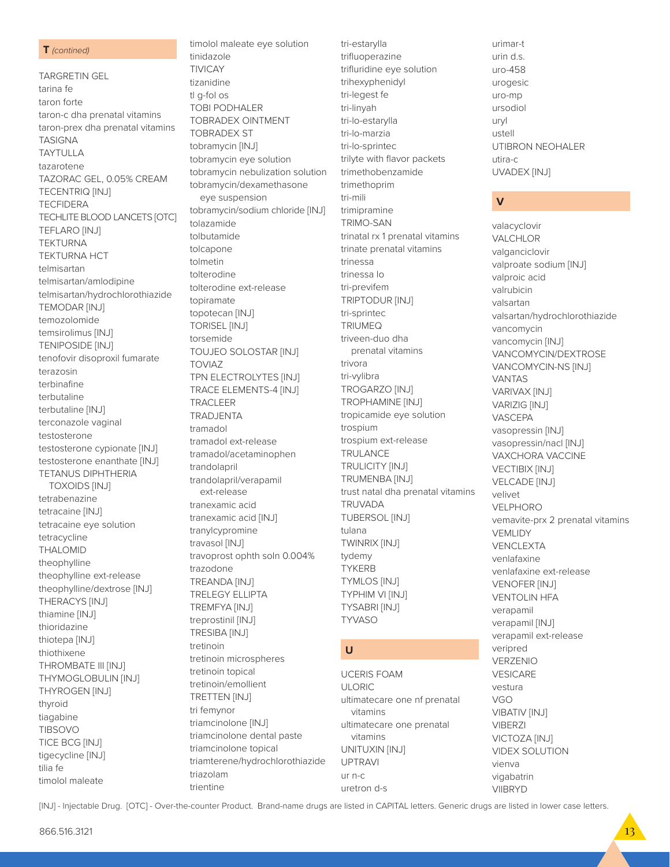#### T (contined)

**TARGRETIN GEL** tarina fe taron forte taron-c dha prenatal vitamins taron-prex dha prenatal vitamins **TASIGNA TAYTULLA** tazarotene TAZORAC GEL, 0.05% CREAM **TECENTRIQ [INJ] TECFIDERA** TECHLITE BLOOD LANCETS [OTC] **TEFLARO [INJ] TEKTURNA TEKTURNA HCT** telmisartan telmisartan/amlodipine telmisartan/hydrochlorothiazide **TEMODAR [INJ]** temozolomide temsirolimus [INJ] **TENIPOSIDE [INJ]** tenofovir disoproxil fumarate terazosin terbinafine terbutaline terbutaline [INJ] terconazole vaginal testosterone testosterone cypionate [INJ] testosterone enanthate [INJ] **TETANUS DIPHTHERIA TOXOIDS [INJ]** tetrabenazine tetracaine [INJ] tetracaine eye solution tetracycline **THALOMID** theophylline theophylline ext-release theophylline/dextrose [INJ] THERACYS [INJ] thiamine [INJ] thioridazine thiotepa [INJ] thiothixene THROMBATE III [INJ] THYMOGLOBULIN [INJ] THYROGEN [INJ] thyroid tiagabine **TIBSOVO TICE BCG [INJ]** tigecycline [INJ] tilia fe timolol maleate

tinidazole **TIVICAY** tizanidine tl q-fol os **TOBI PODHALER TOBRADEX OINTMENT TOBRADEX ST** tobramycin [INJ] tobramycin eye solution tobramycin nebulization solution tobramycin/dexamethasone eye suspension tobramycin/sodium chloride [INJ] tolazamide tolbutamide tolcapone tolmetin tolterodine tolterodine ext-release topiramate topotecan [INJ] **TORISEL [INJ]** torsemide **TOUJEO SOLOSTAR [INJ] TOVIAZ** TPN ELECTROLYTES [INJ] **TRACE ELEMENTS-4 [INJ] TRACLEER** TRADJENTA tramadol tramadol ext-release tramadol/acetaminophen trandolapril trandolapril/verapamil ext-release tranexamic acid tranexamic acid [INJ] tranylcypromine travasol [INJ] travoprost ophth soln 0.004% trazodone TREANDA [INJ] **TRELEGY ELLIPTA** TREMFYA [INJ] treprostinil [INJ] **TRESIBA [INJ]** tretinoin tretinoin microspheres tretinoin topical tretinoin/emollient TRETTEN [INJ] tri femynor triamcinolone [INJ] triamcinolone dental paste triamcinolone topical triamterene/hydrochlorothiazide triazolam trientine

timolol maleate eye solution

tri-estarylla trifluoperazine trifluridine eye solution trihexyphenidyl tri-legest fe tri-linyah tri-lo-estarylla tri-lo-marzia tri-lo-sprintec trilvte with flavor packets trimethobenzamide trimethoprim tri-mili trimipramine **TRIMO-SAN** trinatal rx 1 prenatal vitamins trinate prenatal vitamins trinessa trinessa lo tri-previfem TRIPTODUR [INJ] tri-sprintec **TRIUMEQ** triveen-duo dha prenatal vitamins trivora tri-vylibra **TROGARZO [INJ]** TROPHAMINE [INJ] tropicamide eye solution trospium trospium ext-release TRULANCE **TRULICITY [INJ]** TRUMENBA [INJ] trust natal dha prenatal vitamins TRUVADA **TUBERSOL [INJ]** tulana **TWINRIX [INJ]** tydemy **TYKERB TYMLOS [INJ]** TYPHIM VI [INJ] **TYSABRI [INJ] TYVASO**  $\cup$ **UCERIS FOAM ULORIC** ultimatecare one nf prenatal vitamins

ultimatecare one prenatal

vitamins

**UPTRAVI** 

uretron d-s

 $IIT$  n-c

UNITUXIN [INJ]

urimar-t  $urin ds$ uro-458 urogesic uro-mp ursodiol uryl ustell UTIBRON NEOHALER utira-c UVADEX [INJ]

### $\mathbf v$

valacyclovir VALCHLOR valganciclovir valproate sodium [INJ] valproic acid valrubicin valsartan valsartan/hydrochlorothiazide vancomycin vancomycin [INJ] VANCOMYCIN/DEXTROSE VANCOMYCIN-NS [INJ] **VANTAS** VARIVAX [INJ] **VARIZIG [INJ] VASCEPA** vasopressin [INJ] vasopressin/nacl [INJ] VAXCHORA VACCINE **VECTIBIX [INJ]** VELCADE [INJ] velivet VFI PHORO vemavite-prx 2 prenatal vitamins **VEMLIDY VENCLEXTA** venlafaxine venlafaxine ext-release **VENOFER [INJ] VENTOLIN HFA** verapamil verapamil [INJ] verapamil ext-release veripred VERZENIO **VESICARE** vestura **VGO** VIBATIV [INJ] **VIBERZI VICTOZA [INJ] VIDEX SOLUTION** vienva vigabatrin **VIIBRYD**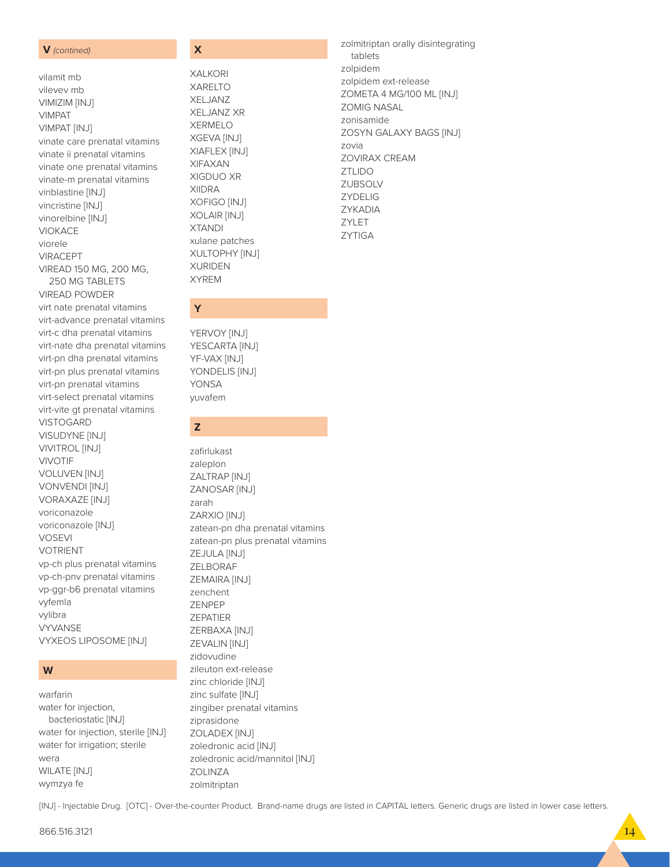V (contined)

vilamit mb

vilevev mb

VIMIZIM [INJ] **VIMPAT** VIMPAT [INJ] vinate care prenatal vitamins vinate ii prenatal vitamins vinate one prenatal vitamins vinate-m prenatal vitamins vinblastine [INJ] vincristine [INJ] vinorelbine [INJ] **VIOKACE** viorele **VIRACEPT** VIREAD 150 MG, 200 MG. 250 MG TABLETS **VIREAD POWDER** virt nate prenatal vitamins virt-advance prenatal vitamins virt-c dha prenatal vitamins virt-nate dha prenatal vitamins virt-pn dha prenatal vitamins virt-pn plus prenatal vitamins virt-pn prenatal vitamins virt-select prenatal vitamins virt-vite gt prenatal vitamins

**VISTOGARD** VISUDYNE [INJ] **VIVITROL [INJ] VIVOTIF VOLUVEN [INJ]** VONVENDI [INJ] **VORAXAZE [INJ]** voriconazole voriconazole [INJ] **VOSEVI VOTRIENT** vp-ch plus prenatal vitamins vp-ch-pnv prenatal vitamins vp-ggr-b6 prenatal vitamins vyfemla vylibra **VYVANSE VYXEOS LIPOSOME [INJ]** 

### W

warfarin water for injection, bacteriostatic [INJ] water for injection, sterile [INJ] water for irrigation; sterile wera WILATE [INJ] wymzya fe

### $\overline{\mathbf{x}}$

**XALKORI XARELTO** XELJANZ **XELJANZ XR XERMELO** XGEVA [INJ] XIAFLEX [INJ] **XIFAXAN** XIGDUO XR **XIIDRA** XOFIGO [INJ] XOLAIR [INJ] **XTANDI** xulane patches XULTOPHY [INJ] **XURIDEN XYREM** 

zolmitriptan orally disintegrating tablets zolpidem zolpidem ext-release ZOMETA 4 MG/100 ML [INJ] **ZOMIG NASAL** zonisamide ZOSYN GALAXY BAGS [INJ] zovia ZOVIRAX CREAM **ZTLIDO** ZUBSOLV **ZYDELIG** ZYKADIA ZYLET

**ZYTIGA** 

YERVOY [INJ] YESCARTA [INJ] YF-VAX [INJ] YONDELIS [INJ] **YONSA** 

### $\overline{z}$

yuvafem

Y

zafirlukast zaleplon ZALTRAP [INJ] **ZANOSAR [INJ]** zarah ZARXIO [INJ] zatean-pn dha prenatal vitamins zatean-pn plus prenatal vitamins ZEJULA [INJ] ZELBORAF ZEMAIRA [INJ] zenchent ZENPEP ZEPATIER ZERBAXA [INJ] ZEVALIN [INJ] zidovudine zileuton ext-release zinc chloride [INJ] zinc sulfate [INJ] zingiber prenatal vitamins ziprasidone **ZOLADEX [INJ]** zoledronic acid [INJ] zoledronic acid/mannitol [INJ] **ZOLINZA** zolmitriptan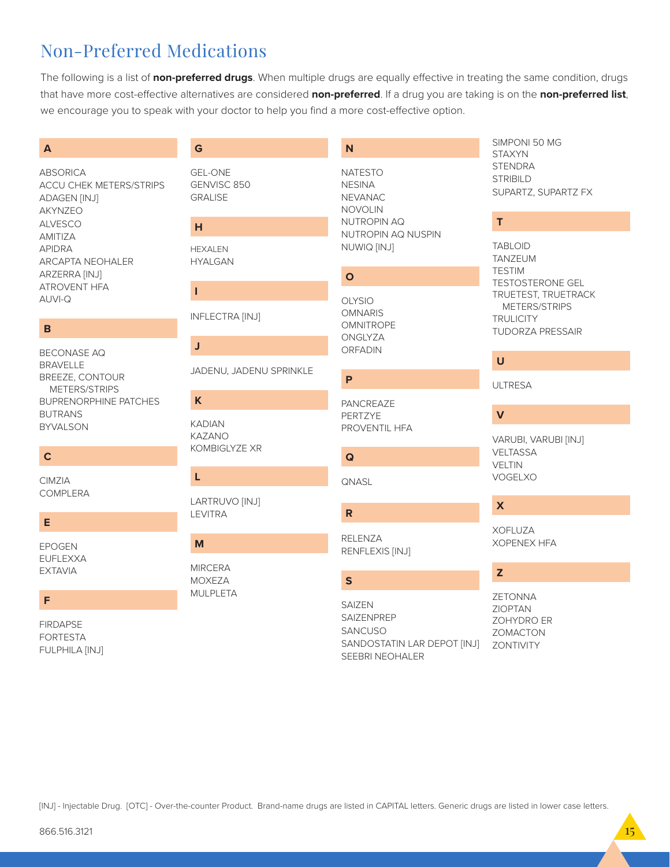## Non-Preferred Medications

The following is a list of **non-preferred drugs**. When multiple drugs are equally effective in treating the same condition, drugs that have more cost-effective alternatives are considered **non-preferred**. If a drug you are taking is on the **non-preferred list**, we encourage you to speak with your doctor to help you find a more cost-effective option.

### **A**

ABSORICA ACCU CHEK METERS/STRIPS ADAGEN [INJ] AKYNZEO ALVESCO AMITIZA APIDRA ARCAPTA NEOHALER ARZERRA [INJ] ATROVENT HFA AUVI-Q

### **B**

BECONASE AQ BRAVELLE BREEZE, CONTOUR METERS/STRIPS BUPRENORPHINE PATCHES BUTRANS BYVALSON

### **C**

CIMZIA COMPLERA

### **E**

EPOGEN EUFLEXXA EXTAVIA

### **F**

FIRDAPSE FORTESTA FULPHILA [INJ]

### **G**

GEL-ONE GENVISC 850 **GRALISE** 

### **H**

HEXALEN HYALGAN

### **I**

INFLECTRA [INJ]

### **J**

JADENU, JADENU SPRINKLE

### **K**

KADIAN KAZANO KOMBIGLYZE XR

### **L**

LARTRUVO [INJ] LEVITRA

# **M**

**MIRCERA** MOXEZA MULPLETA

### **N**

NATESTO **NESINA** NEVANAC NOVOLIN NUTROPIN AQ NUTROPIN AQ NUSPIN NUWIQ [INJ]

### **O**

OLYSIO OMNARIS **OMNITROPE** ONGLYZA ORFADIN

### PANCREAZE PERTZYE PROVENTIL HFA

**Q**

**P**

**QNASL** 

**R** RELENZA

RENFLEXIS [INJ]

### **S**

**SAIZEN** SAIZENPREP SANCUSO SANDOSTATIN LAR DEPOT [INJ] SEEBRI NEOHALER

### SIMPONI 50 MG **STAXYN** STENDRA **STRIBILD** SUPARTZ, SUPARTZ FX

### **T**

TABLOID TANZEUM TESTIM TESTOSTERONE GEL TRUETEST, TRUETRACK METERS/STRIPS **TRULICITY** TUDORZA PRESSAIR

### **U**

ULTRESA

### **V**

VARUBI, VARUBI [INJ] VELTASSA VELTIN VOGELXO

### **X**

XOFLUZA XOPENEX HFA

### **Z**

ZETONNA ZIOPTAN ZOHYDRO ER ZOMACTON ZONTIVITY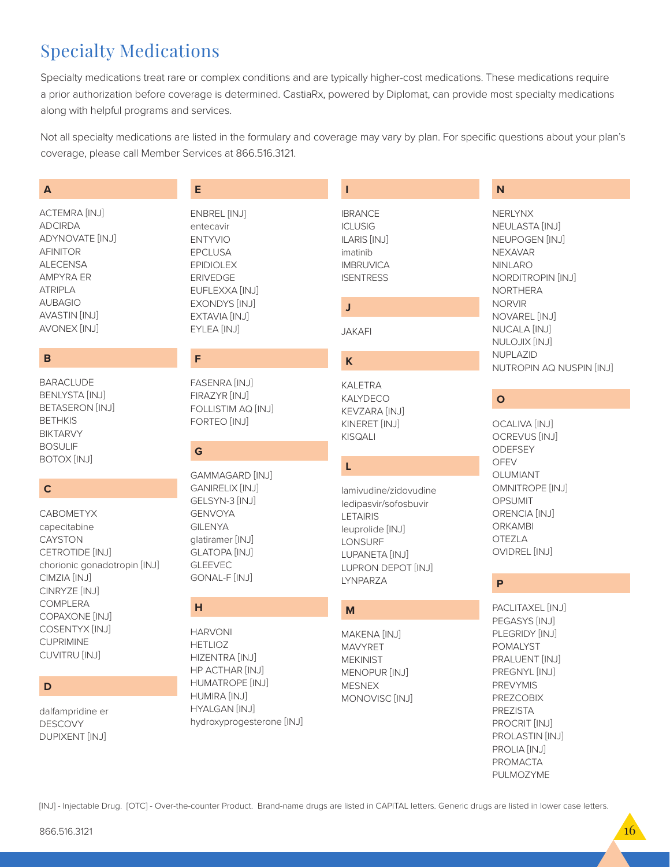# **Specialty Medications**

Specialty medications treat rare or complex conditions and are typically higher-cost medications. These medications require a prior authorization before coverage is determined. CastiaRx, powered by Diplomat, can provide most specialty medications along with helpful programs and services.

Not all specialty medications are listed in the formulary and coverage may vary by plan. For specific questions about your plan's coverage, please call Member Services at 866.516.3121.

Т

### A

ACTEMRA [INJ] **ADCIRDA** ADYNOVATE [INJ] **AFINITOR ALECENSA AMPYRA ER ATRIPLA AUBAGIO AVASTIN [INJ]** AVONEX [INJ]

### B

**BARACLUDE BENLYSTA [INJ] BETASERON [INJ] BETHKIS BIKTARVY BOSULIF BOTOX [INJ]** 

### $\mathbf c$

**CABOMETYX** capecitabine **CAYSTON** CETROTIDE [INJ] chorionic gonadotropin [INJ] CIMZIA [INJ] CINRYZE [INJ] COMPLERA COPAXONE [INJ] COSENTYX [INJ] **CUPRIMINE** CUVITRU [INJ]

### D

dalfampridine er **DESCOVY DUPIXENT [INJ]** 

### **ENBREL [INJ]** entecavir **ENTYVIO EPCLUSA EPIDIOLEX ERIVEDGE** EUFLEXXA [INJ] **EXONDYS [INJ]** EXTAVIA [INJ]

E

### F

EYLEA [INJ]

FASENRA [INJ] FIRAZYR [INJ] FOLLISTIM AQ [INJ] FORTEO [INJ]

### G

**GAMMAGARD [INJ] GANIRELIX [INJ]** GELSYN-3 [INJ] **GENVOYA GILENYA** qlatiramer [INJ] **GLATOPA [INJ] GLEEVEC** GONAL-F [INJ]

### $H$

**HARVONI HETLIOZ** HIZENTRA [INJ] HP ACTHAR [INJ] HUMATROPE [INJ] **HUMIRA [INJ] HYALGAN [IN.J]** hydroxyprogesterone [INJ]

**IBRANCE ICLUSIG ILARIS [INJ]** imatinib **IMBRUVICA ISENTRESS** 

### J

K

**JAKAFI** 

**KALETRA** KALYDECO KEVZARA [INJ] KINERET [INJ]

**KISQALI** 

### L

lamivudine/zidovudine ledipasvir/sofosbuvir **LETAIRIS** leuprolide [INJ] LONSURF LUPANETA [INJ] LUPRON DEPOT [INJ] LYNPARZA

### M

MAKENA [INJ] **MAVYRET MEKINIST** MENOPUR [INJ] **MESNEX** MONOVISC<sup>[INJ]</sup>

### N

**NERLYNX** NEULASTA [INJ] NEUPOGEN [INJ] **NEXAVAR NINLARO** NORDITROPIN [INJ] **NORTHERA NORVIR** NOVAREL [INJ] NUCALA [INJ] NULOJIX [INJ] NUPLAZID NUTROPIN AQ NUSPIN [INJ]

### $\mathbf{o}$

**OCALIVA [INJ] OCREVUS [INJ]** ODEFSEY **OFEV** OLUMIANT **OMNITROPE [INJ] OPSUMIT** ORENCIA [INJ] ORKAMBI OTF7I A OVIDREL [INJ]

### $\mathsf{P}$

PACLITAXEL [INJ] PEGASYS [INJ] PLEGRIDY [INJ] **POMALYST** PRALUENT [INJ] PREGNYL [INJ] **PREVYMIS PREZCOBIX PREZISTA** PROCRIT [INJ] PROLASTIN [INJ] PROLIA [INJ] PROMACTA PULMOZYME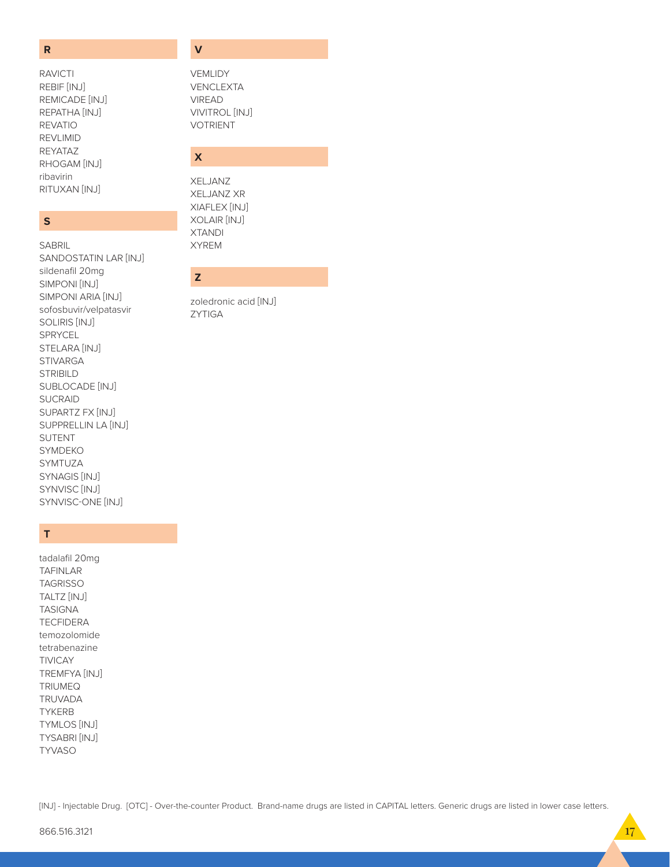#### $\overline{\mathsf{R}}$

**RAVICTI** REBIF [INJ] REMICADE [INJ] REPATHA [INJ] **REVATIO REVLIMID** REYATAZ RHOGAM [INJ] ribavirin RITUXAN [INJ]

### $\mathsf{s}$

**SABRIL** SANDOSTATIN LAR [INJ] sildenafil 20mg SIMPONI [INJ] SIMPONI ARIA [INJ] sofosbuvir/velpatasvir SOLIRIS [INJ] SPRYCEL STELARA [INJ] **STIVARGA STRIBILD** SUBLOCADE [INJ] **SUCRAID** SUPARTZ FX [INJ] SUPPRELLIN LA [INJ] SUTENT SYMDEKO SYMTUZA SYNAGIS [INJ] SYNVISC<sup>[INJ]</sup> SYNVISC-ONE [INJ]

### $\mathsf T$

tadalafil 20mg **TAFINLAR TAGRISSO** TALTZ [INJ] **TASIGNA TECFIDERA** temozolomide tetrabenazine **TIVICAY** TREMFYA [INJ] **TRIUMEQ** TRUVADA **TYKERB TYMLOS [INJ]** TYSABRI [INJ] **TYVASO** 

### $\overline{\mathsf{v}}$

**VEMLIDY VENCLEXTA VIREAD** VIVITROL [INJ] **VOTRIENT** 

### $\overline{\mathsf{x}}$

XELJANZ **XELJANZ XR** XIAFLEX [INJ] XOLAIR [INJ] **XTANDI XYREM** 

### $\overline{z}$

zoledronic acid [INJ] **ZYTIGA**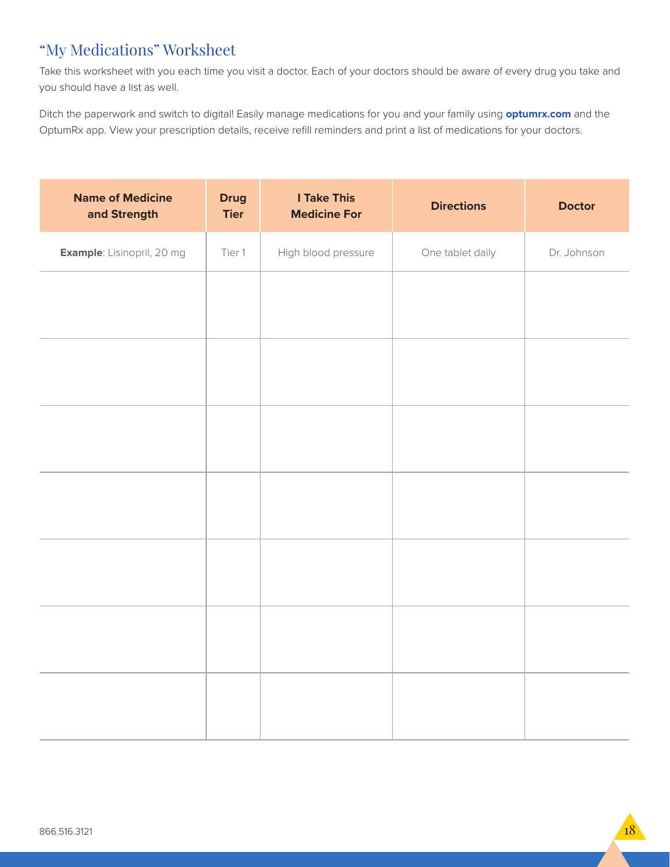### "My Medications" Worksheet

Take this worksheet with you each time you visit a doctor. Each of your doctors should be aware of every drug you take and you should have a list as well.

Ditch the paperwork and switch to digital! Easily manage medications for you and your family using **optumrx.com** and the OptumRx app. View your prescription details, receive refill reminders and print a list of medications for your doctors.

| <b>Name of Medicine</b><br>and Strength | <b>Drug</b><br><b>Tier</b> | <b>I Take This</b><br><b>Medicine For</b> | <b>Directions</b> | <b>Doctor</b> |
|-----------------------------------------|----------------------------|-------------------------------------------|-------------------|---------------|
| <b>Example:</b> Lisinopril, 20 mg       | Tier 1                     | High blood pressure                       | One tablet daily  | Dr. Johnson   |
|                                         |                            |                                           |                   |               |
|                                         |                            |                                           |                   |               |
|                                         |                            |                                           |                   |               |
|                                         |                            |                                           |                   |               |
|                                         |                            |                                           |                   |               |
|                                         |                            |                                           |                   |               |
|                                         |                            |                                           |                   |               |
|                                         |                            |                                           |                   |               |
|                                         |                            |                                           |                   |               |
|                                         |                            |                                           |                   |               |
|                                         |                            |                                           |                   |               |
|                                         |                            |                                           |                   |               |
|                                         |                            |                                           |                   |               |